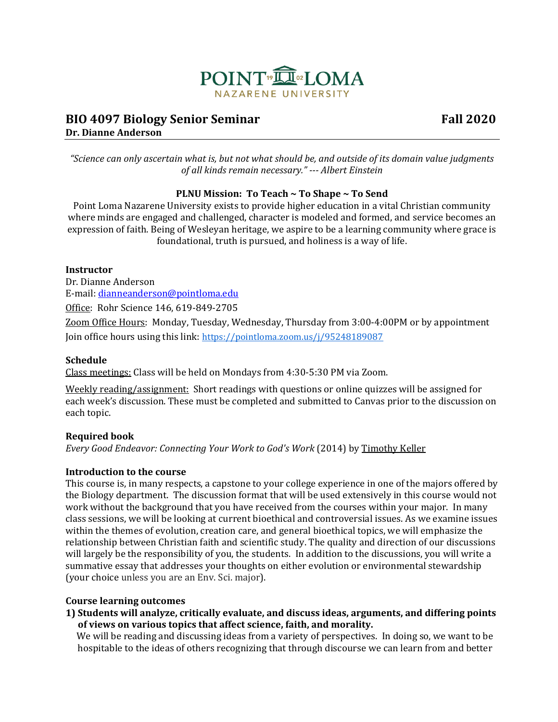

# **BIO 4097 Biology Senior Seminar Fall 2020 Dr. Dianne Anderson**

*"Science can only ascertain what is, but not what should be, and outside of its domain value judgments of all kinds remain necessary." --- Albert Einstein*

## **PLNU Mission: To Teach ~ To Shape ~ To Send**

Point Loma Nazarene University exists to provide higher education in a vital Christian community where minds are engaged and challenged, character is modeled and formed, and service becomes an expression of faith. Being of Wesleyan heritage, we aspire to be a learning community where grace is foundational, truth is pursued, and holiness is a way of life.

### **Instructor**

Dr. Dianne Anderson E-mail: [dianneanderson@pointloma.edu](mailto:dianneanderson@pointloma.edu) Office: Rohr Science 146, 619-849-2705 Zoom Office Hours: Monday, Tuesday, Wednesday, Thursday from 3:00-4:00PM or by appointment Join office hours using this link: <https://pointloma.zoom.us/j/95248189087>

## **Schedule**

Class meetings: Class will be held on Mondays from 4:30-5:30 PM via Zoom.

Weekly reading/assignment: Short readings with questions or online quizzes will be assigned for each week's discussion. These must be completed and submitted to Canvas prior to the discussion on each topic.

## **Required book**

*Every Good Endeavor: Connecting Your Work to God's Work* (2014) by Timothy Keller

## **Introduction to the course**

This course is, in many respects, a capstone to your college experience in one of the majors offered by the Biology department. The discussion format that will be used extensively in this course would not work without the background that you have received from the courses within your major. In many class sessions, we will be looking at current bioethical and controversial issues. As we examine issues within the themes of evolution, creation care, and general bioethical topics, we will emphasize the relationship between Christian faith and scientific study. The quality and direction of our discussions will largely be the responsibility of you, the students. In addition to the discussions, you will write a summative essay that addresses your thoughts on either evolution or environmental stewardship (your choice unless you are an Env. Sci. major).

#### **Course learning outcomes**

**1) Students will analyze, critically evaluate, and discuss ideas, arguments, and differing points of views on various topics that affect science, faith, and morality.**

 We will be reading and discussing ideas from a variety of perspectives. In doing so, we want to be hospitable to the ideas of others recognizing that through discourse we can learn from and better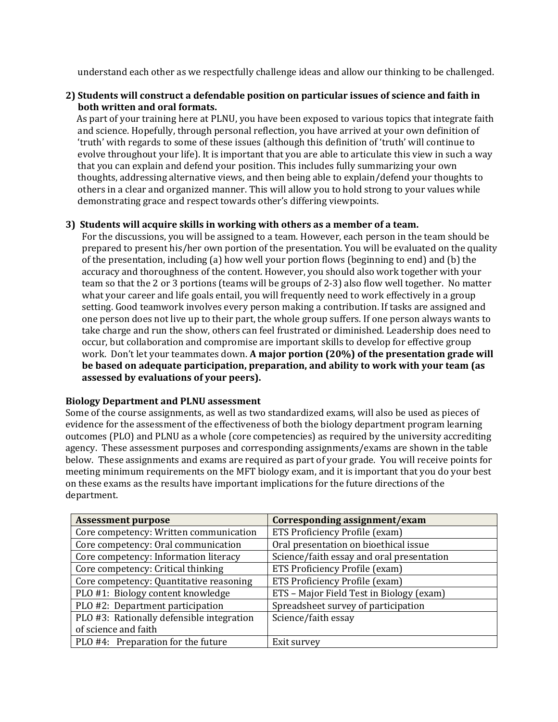understand each other as we respectfully challenge ideas and allow our thinking to be challenged.

## **2) Students will construct a defendable position on particular issues of science and faith in both written and oral formats.**

 As part of your training here at PLNU, you have been exposed to various topics that integrate faith and science. Hopefully, through personal reflection, you have arrived at your own definition of 'truth' with regards to some of these issues (although this definition of 'truth' will continue to evolve throughout your life). It is important that you are able to articulate this view in such a way that you can explain and defend your position. This includes fully summarizing your own thoughts, addressing alternative views, and then being able to explain/defend your thoughts to others in a clear and organized manner. This will allow you to hold strong to your values while demonstrating grace and respect towards other's differing viewpoints.

## **3) Students will acquire skills in working with others as a member of a team.**

For the discussions, you will be assigned to a team. However, each person in the team should be prepared to present his/her own portion of the presentation. You will be evaluated on the quality of the presentation, including (a) how well your portion flows (beginning to end) and (b) the accuracy and thoroughness of the content. However, you should also work together with your team so that the 2 or 3 portions (teams will be groups of 2-3) also flow well together. No matter what your career and life goals entail, you will frequently need to work effectively in a group setting. Good teamwork involves every person making a contribution. If tasks are assigned and one person does not live up to their part, the whole group suffers. If one person always wants to take charge and run the show, others can feel frustrated or diminished. Leadership does need to occur, but collaboration and compromise are important skills to develop for effective group work. Don't let your teammates down. **A major portion (20%) of the presentation grade will be based on adequate participation, preparation, and ability to work with your team (as assessed by evaluations of your peers).** 

#### **Biology Department and PLNU assessment**

Some of the course assignments, as well as two standardized exams, will also be used as pieces of evidence for the assessment of the effectiveness of both the biology department program learning outcomes (PLO) and PLNU as a whole (core competencies) as required by the university accrediting agency. These assessment purposes and corresponding assignments/exams are shown in the table below. These assignments and exams are required as part of your grade. You will receive points for meeting minimum requirements on the MFT biology exam, and it is important that you do your best on these exams as the results have important implications for the future directions of the department.

| <b>Assessment purpose</b>                 | Corresponding assignment/exam             |  |
|-------------------------------------------|-------------------------------------------|--|
| Core competency: Written communication    | ETS Proficiency Profile (exam)            |  |
| Core competency: Oral communication       | Oral presentation on bioethical issue     |  |
| Core competency: Information literacy     | Science/faith essay and oral presentation |  |
| Core competency: Critical thinking        | ETS Proficiency Profile (exam)            |  |
| Core competency: Quantitative reasoning   | ETS Proficiency Profile (exam)            |  |
| PLO #1: Biology content knowledge         | ETS - Major Field Test in Biology (exam)  |  |
| PLO #2: Department participation          | Spreadsheet survey of participation       |  |
| PLO #3: Rationally defensible integration | Science/faith essay                       |  |
| of science and faith                      |                                           |  |
| PLO #4: Preparation for the future        | Exit survey                               |  |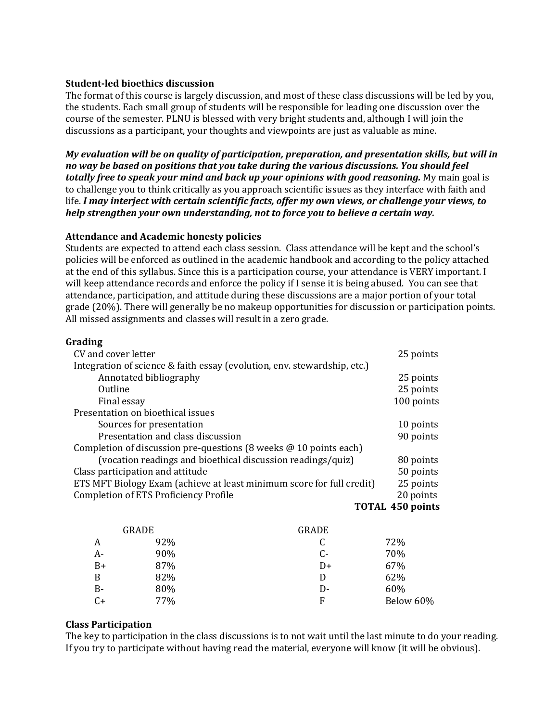### **Student-led bioethics discussion**

The format of this course is largely discussion, and most of these class discussions will be led by you, the students. Each small group of students will be responsible for leading one discussion over the course of the semester. PLNU is blessed with very bright students and, although I will join the discussions as a participant, your thoughts and viewpoints are just as valuable as mine.

*My evaluation will be on quality of participation, preparation, and presentation skills, but will in no way be based on positions that you take during the various discussions. You should feel totally free to speak your mind and back up your opinions with good reasoning.* My main goal is to challenge you to think critically as you approach scientific issues as they interface with faith and life. *I may interject with certain scientific facts, offer my own views, or challenge your views, to help strengthen your own understanding, not to force you to believe a certain way.*

### **Attendance and Academic honesty policies**

Students are expected to attend each class session. Class attendance will be kept and the school's policies will be enforced as outlined in the academic handbook and according to the policy attached at the end of this syllabus. Since this is a participation course, your attendance is VERY important. I will keep attendance records and enforce the policy if I sense it is being abused. You can see that attendance, participation, and attitude during these discussions are a major portion of your total grade (20%). There will generally be no makeup opportunities for discussion or participation points. All missed assignments and classes will result in a zero grade.

### **Grading**

| CV and cover letter                                                      | 25 points               |
|--------------------------------------------------------------------------|-------------------------|
| Integration of science & faith essay (evolution, env. stewardship, etc.) |                         |
| Annotated bibliography                                                   | 25 points               |
| Outline                                                                  | 25 points               |
| Final essay                                                              | 100 points              |
| Presentation on bioethical issues                                        |                         |
| Sources for presentation                                                 | 10 points               |
| Presentation and class discussion                                        | 90 points               |
| Completion of discussion pre-questions (8 weeks $\omega$ 10 points each) |                         |
| (vocation readings and bioethical discussion readings/quiz)              | 80 points               |
| Class participation and attitude                                         | 50 points               |
| ETS MFT Biology Exam (achieve at least minimum score for full credit)    | 25 points               |
| <b>Completion of ETS Proficiency Profile</b>                             | 20 points               |
|                                                                          | <b>TOTAL 450 points</b> |

|      | <b>GRADE</b> | GRADE |           |
|------|--------------|-------|-----------|
| A    | 92%          | C     | 72%       |
| A-   | 90%          | C-    | 70%       |
| B+   | 87%          | D+    | 67%       |
| B    | 82%          | D     | 62%       |
| В-   | 80%          | D-    | 60%       |
| $C+$ | 77%          | F     | Below 60% |

#### **Class Participation**

The key to participation in the class discussions is to not wait until the last minute to do your reading. If you try to participate without having read the material, everyone will know (it will be obvious).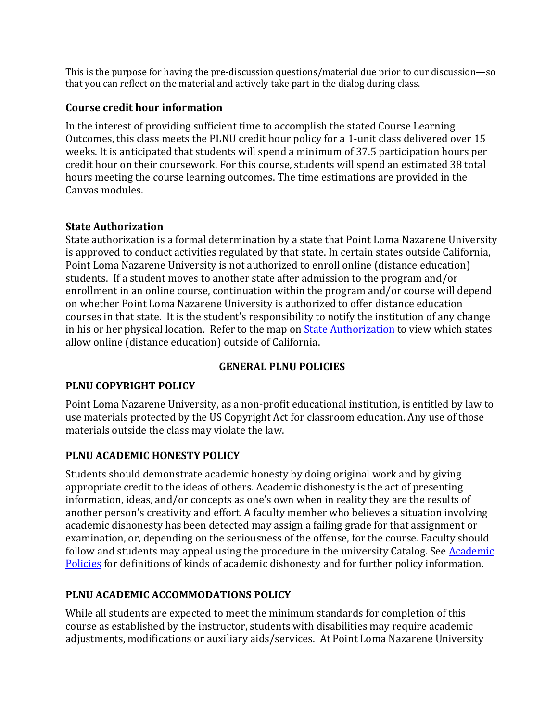This is the purpose for having the pre-discussion questions/material due prior to our discussion—so that you can reflect on the material and actively take part in the dialog during class.

## **Course credit hour information**

In the interest of providing sufficient time to accomplish the stated Course Learning Outcomes, this class meets the PLNU credit hour policy for a 1-unit class delivered over 15 weeks. It is anticipated that students will spend a minimum of 37.5 participation hours per credit hour on their coursework. For this course, students will spend an estimated 38 total hours meeting the course learning outcomes. The time estimations are provided in the Canvas modules.

## **State Authorization**

State authorization is a formal determination by a state that Point Loma Nazarene University is approved to conduct activities regulated by that state. In certain states outside California, Point Loma Nazarene University is not authorized to enroll online (distance education) students. If a student moves to another state after admission to the program and/or enrollment in an online course, continuation within the program and/or course will depend on whether Point Loma Nazarene University is authorized to offer distance education courses in that state. It is the student's responsibility to notify the institution of any change in his or her physical location. Refer to the map on [State Authorization](https://www.pointloma.edu/offices/office-institutional-effectiveness-research/disclosures) to view which states allow online (distance education) outside of California.

# **GENERAL PLNU POLICIES**

# **PLNU COPYRIGHT POLICY**

Point Loma Nazarene University, as a non-profit educational institution, is entitled by law to use materials protected by the US Copyright Act for classroom education. Any use of those materials outside the class may violate the law.

# **PLNU ACADEMIC HONESTY POLICY**

Students should demonstrate academic honesty by doing original work and by giving appropriate credit to the ideas of others. Academic dishonesty is the act of presenting information, ideas, and/or concepts as one's own when in reality they are the results of another person's creativity and effort. A faculty member who believes a situation involving academic dishonesty has been detected may assign a failing grade for that assignment or examination, or, depending on the seriousness of the offense, for the course. Faculty should follow and students may appeal using the procedure in the university Catalog. See Academic [Policies](https://catalog.pointloma.edu/content.php?catoid=41&navoid=2435#Academic_Honesty) for definitions of kinds of academic dishonesty and for further policy information.

# **PLNU ACADEMIC ACCOMMODATIONS POLICY**

While all students are expected to meet the minimum standards for completion of this course as established by the instructor, students with disabilities may require academic adjustments, modifications or auxiliary aids/services. At Point Loma Nazarene University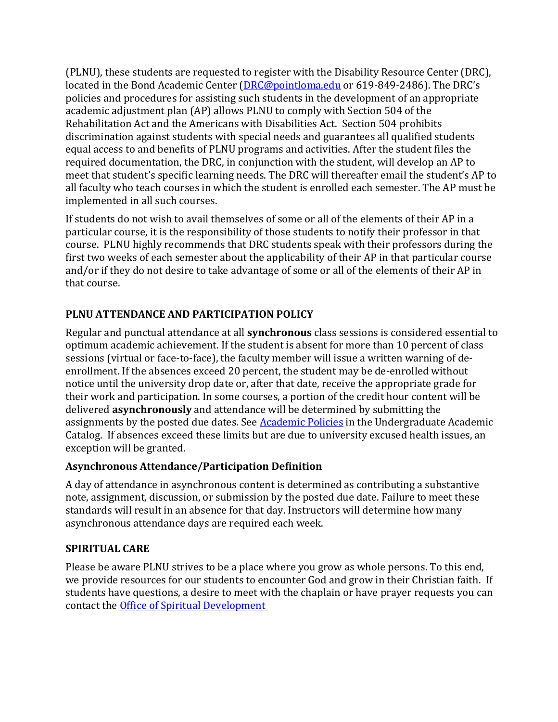(PLNU), these students are requested to register with the Disability Resource Center (DRC), located in the Bond Academic Center [\(DRC@pointloma.edu](mailto:DRC@pointloma.edu) or 619-849-2486). The DRC's policies and procedures for assisting such students in the development of an appropriate academic adjustment plan (AP) allows PLNU to comply with Section 504 of the Rehabilitation Act and the Americans with Disabilities Act. Section 504 prohibits discrimination against students with special needs and guarantees all qualified students equal access to and benefits of PLNU programs and activities. After the student files the required documentation, the DRC, in conjunction with the student, will develop an AP to meet that student's specific learning needs. The DRC will thereafter email the student's AP to all faculty who teach courses in which the student is enrolled each semester. The AP must be implemented in all such courses.

If students do not wish to avail themselves of some or all of the elements of their AP in a particular course, it is the responsibility of those students to notify their professor in that course. PLNU highly recommends that DRC students speak with their professors during the first two weeks of each semester about the applicability of their AP in that particular course and/or if they do not desire to take advantage of some or all of the elements of their AP in that course.

# **PLNU ATTENDANCE AND PARTICIPATION POLICY**

Regular and punctual attendance at all **synchronous** class sessions is considered essential to optimum academic achievement. If the student is absent for more than 10 percent of class sessions (virtual or face-to-face), the faculty member will issue a written warning of deenrollment. If the absences exceed 20 percent, the student may be de-enrolled without notice until the university drop date or, after that date, receive the appropriate grade for their work and participation. In some courses, a portion of the credit hour content will be delivered **asynchronously** and attendance will be determined by submitting the assignments by the posted due dates. See [Academic Policies](https://catalog.pointloma.edu/content.php?catoid=46&navoid=2650#Class_Attendance) in the Undergraduate Academic Catalog. If absences exceed these limits but are due to university excused health issues, an exception will be granted.

# **Asynchronous Attendance/Participation Definition**

A day of attendance in asynchronous content is determined as contributing a substantive note, assignment, discussion, or submission by the posted due date. Failure to meet these standards will result in an absence for that day. Instructors will determine how many asynchronous attendance days are required each week.

# **SPIRITUAL CARE**

Please be aware PLNU strives to be a place where you grow as whole persons. To this end, we provide resources for our students to encounter God and grow in their Christian faith. If students have questions, a desire to meet with the chaplain or have prayer requests you can contact the [Office of Spiritual Development](https://www.pointloma.edu/offices/spiritual-development)